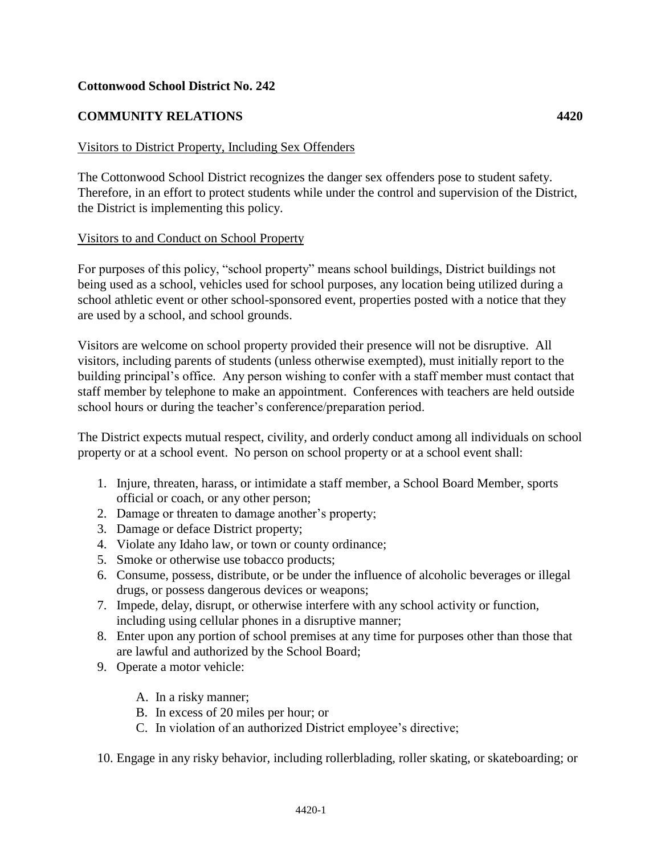### **Cottonwood School District No. 242**

## **COMMUNITY RELATIONS 4420**

### Visitors to District Property, Including Sex Offenders

The Cottonwood School District recognizes the danger sex offenders pose to student safety. Therefore, in an effort to protect students while under the control and supervision of the District, the District is implementing this policy.

#### Visitors to and Conduct on School Property

For purposes of this policy, "school property" means school buildings, District buildings not being used as a school, vehicles used for school purposes, any location being utilized during a school athletic event or other school-sponsored event, properties posted with a notice that they are used by a school, and school grounds.

Visitors are welcome on school property provided their presence will not be disruptive. All visitors, including parents of students (unless otherwise exempted), must initially report to the building principal's office. Any person wishing to confer with a staff member must contact that staff member by telephone to make an appointment. Conferences with teachers are held outside school hours or during the teacher's conference/preparation period.

The District expects mutual respect, civility, and orderly conduct among all individuals on school property or at a school event. No person on school property or at a school event shall:

- 1. Injure, threaten, harass, or intimidate a staff member, a School Board Member, sports official or coach, or any other person;
- 2. Damage or threaten to damage another's property;
- 3. Damage or deface District property;
- 4. Violate any Idaho law, or town or county ordinance;
- 5. Smoke or otherwise use tobacco products;
- 6. Consume, possess, distribute, or be under the influence of alcoholic beverages or illegal drugs, or possess dangerous devices or weapons;
- 7. Impede, delay, disrupt, or otherwise interfere with any school activity or function, including using cellular phones in a disruptive manner;
- 8. Enter upon any portion of school premises at any time for purposes other than those that are lawful and authorized by the School Board;
- 9. Operate a motor vehicle:
	- A. In a risky manner;
	- B. In excess of 20 miles per hour; or
	- C. In violation of an authorized District employee's directive;
- 10. Engage in any risky behavior, including rollerblading, roller skating, or skateboarding; or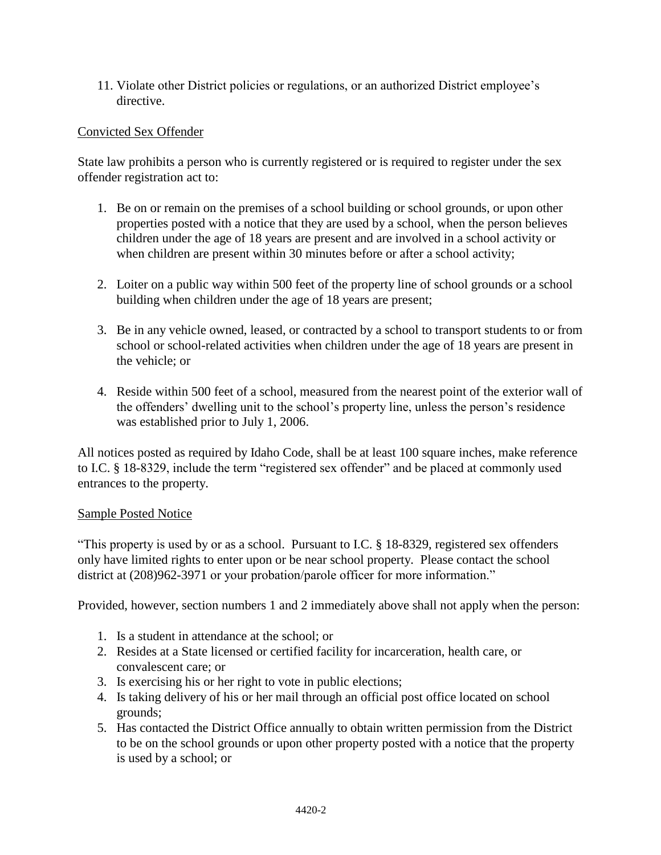11. Violate other District policies or regulations, or an authorized District employee's directive.

## Convicted Sex Offender

State law prohibits a person who is currently registered or is required to register under the sex offender registration act to:

- 1. Be on or remain on the premises of a school building or school grounds, or upon other properties posted with a notice that they are used by a school, when the person believes children under the age of 18 years are present and are involved in a school activity or when children are present within 30 minutes before or after a school activity;
- 2. Loiter on a public way within 500 feet of the property line of school grounds or a school building when children under the age of 18 years are present;
- 3. Be in any vehicle owned, leased, or contracted by a school to transport students to or from school or school-related activities when children under the age of 18 years are present in the vehicle; or
- 4. Reside within 500 feet of a school, measured from the nearest point of the exterior wall of the offenders' dwelling unit to the school's property line, unless the person's residence was established prior to July 1, 2006.

All notices posted as required by Idaho Code, shall be at least 100 square inches, make reference to I.C. § 18-8329, include the term "registered sex offender" and be placed at commonly used entrances to the property.

#### Sample Posted Notice

"This property is used by or as a school. Pursuant to I.C. § 18-8329, registered sex offenders only have limited rights to enter upon or be near school property. Please contact the school district at (208)962-3971 or your probation/parole officer for more information."

Provided, however, section numbers 1 and 2 immediately above shall not apply when the person:

- 1. Is a student in attendance at the school; or
- 2. Resides at a State licensed or certified facility for incarceration, health care, or convalescent care; or
- 3. Is exercising his or her right to vote in public elections;
- 4. Is taking delivery of his or her mail through an official post office located on school grounds;
- 5. Has contacted the District Office annually to obtain written permission from the District to be on the school grounds or upon other property posted with a notice that the property is used by a school; or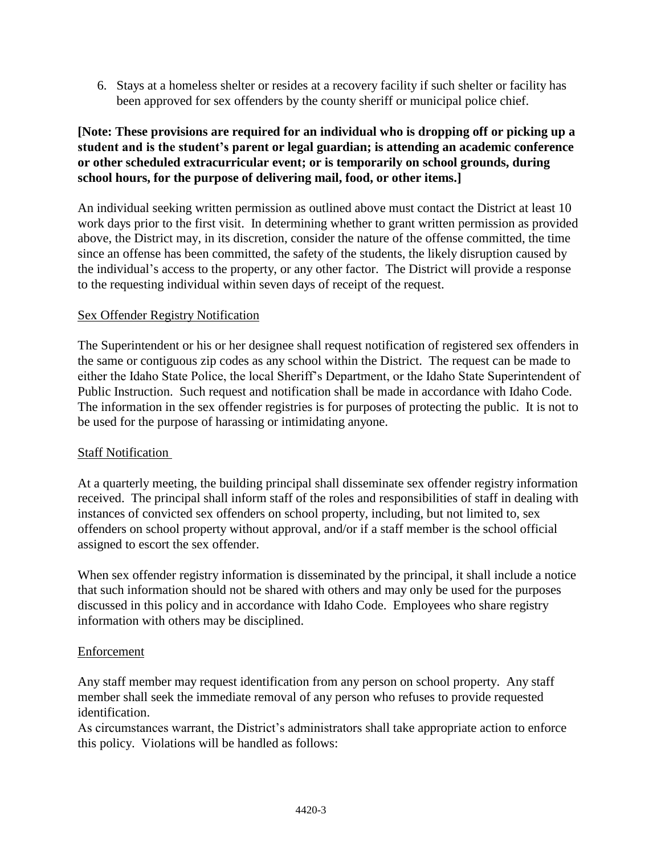6. Stays at a homeless shelter or resides at a recovery facility if such shelter or facility has been approved for sex offenders by the county sheriff or municipal police chief.

# **[Note: These provisions are required for an individual who is dropping off or picking up a student and is the student's parent or legal guardian; is attending an academic conference or other scheduled extracurricular event; or is temporarily on school grounds, during school hours, for the purpose of delivering mail, food, or other items.]**

An individual seeking written permission as outlined above must contact the District at least 10 work days prior to the first visit. In determining whether to grant written permission as provided above, the District may, in its discretion, consider the nature of the offense committed, the time since an offense has been committed, the safety of the students, the likely disruption caused by the individual's access to the property, or any other factor. The District will provide a response to the requesting individual within seven days of receipt of the request.

## Sex Offender Registry Notification

The Superintendent or his or her designee shall request notification of registered sex offenders in the same or contiguous zip codes as any school within the District. The request can be made to either the Idaho State Police, the local Sheriff's Department, or the Idaho State Superintendent of Public Instruction. Such request and notification shall be made in accordance with Idaho Code. The information in the sex offender registries is for purposes of protecting the public. It is not to be used for the purpose of harassing or intimidating anyone.

## **Staff Notification**

At a quarterly meeting, the building principal shall disseminate sex offender registry information received. The principal shall inform staff of the roles and responsibilities of staff in dealing with instances of convicted sex offenders on school property, including, but not limited to, sex offenders on school property without approval, and/or if a staff member is the school official assigned to escort the sex offender.

When sex offender registry information is disseminated by the principal, it shall include a notice that such information should not be shared with others and may only be used for the purposes discussed in this policy and in accordance with Idaho Code. Employees who share registry information with others may be disciplined.

## Enforcement

Any staff member may request identification from any person on school property. Any staff member shall seek the immediate removal of any person who refuses to provide requested identification.

As circumstances warrant, the District's administrators shall take appropriate action to enforce this policy. Violations will be handled as follows: